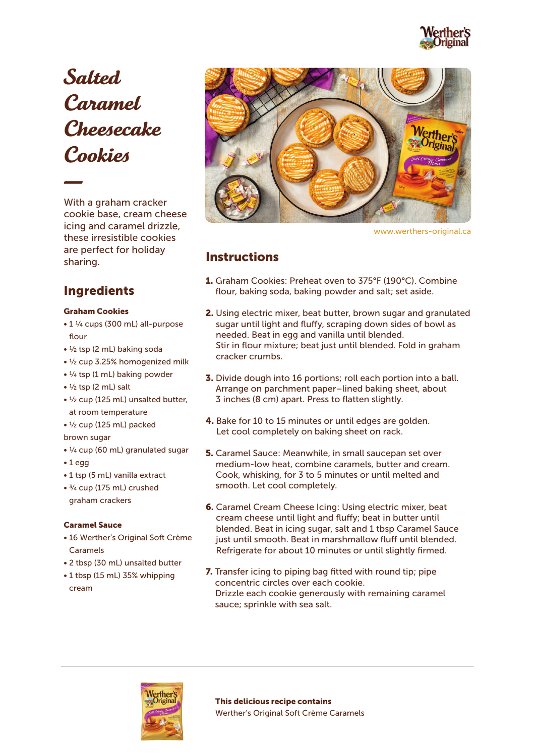

Salted Caramel Cheesecake Cookies

With a graham cracker cookie base, cream cheese icing and caramel drizzle, these irresistible cookies are perfect for holiday sharing.

# Ingredients

## Graham Cookies

- 1 1/4 cups (300 mL) all-purpose flour
- 1/2 tsp (2 mL) baking soda
- 1/2 cup 3.25% homogenized milk
- $\cdot$  <sup>1</sup>/<sub>4</sub> tsp (1 mL) baking powder
- $\bullet$   $\frac{1}{2}$  tsp (2 mL) salt
- 1/2 cup (125 mL) unsalted butter, at room temperature
- 1/2 cup (125 mL) packed
- brown sugar
- 1/4 cup (60 mL) granulated sugar
- 1 egg
- 1 tsp (5 mL) vanilla extract
- 3/4 cup (175 mL) crushed graham crackers

### Caramel Sauce

- 16 Werther's Original Soft Crème Caramels
- 2 tbsp (30 mL) unsalted butter
- 1 tbsp (15 mL) 35% whipping cream



www.werthers-original.ca

## **Instructions**

- 1. Graham Cookies: Preheat oven to 375°F (190°C). Combine flour, baking soda, baking powder and salt; set aside.
- 2. Using electric mixer, beat butter, brown sugar and granulated sugar until light and fluffy, scraping down sides of bowl as needed. Beat in egg and vanilla until blended. Stir in flour mixture; beat just until blended. Fold in graham cracker crumbs.
- 3. Divide dough into 16 portions; roll each portion into a ball. Arrange on parchment paper–lined baking sheet, about 3 inches (8 cm) apart. Press to flatten slightly.
- 4. Bake for 10 to 15 minutes or until edges are golden. Let cool completely on baking sheet on rack.
- 5. Caramel Sauce: Meanwhile, in small saucepan set over medium-low heat, combine caramels, butter and cream. Cook, whisking, for 3 to 5 minutes or until melted and smooth. Let cool completely.
- 6. Caramel Cream Cheese Icing: Using electric mixer, beat cream cheese until light and fluffy; beat in butter until blended. Beat in icing sugar, salt and 1 tbsp Caramel Sauce just until smooth. Beat in marshmallow fluff until blended. Refrigerate for about 10 minutes or until slightly firmed.
- 7. Transfer icing to piping bag fitted with round tip; pipe concentric circles over each cookie. Drizzle each cookie generously with remaining caramel sauce; sprinkle with sea salt.